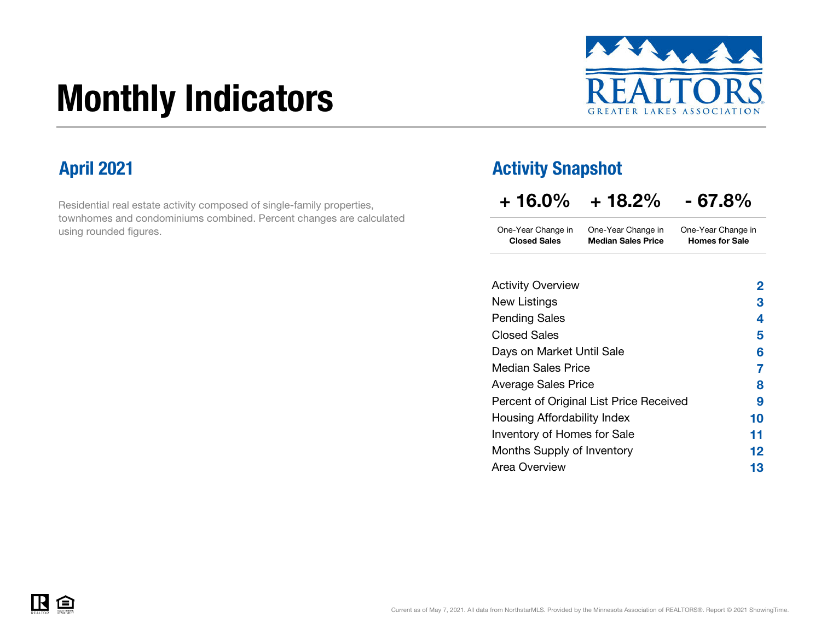# Monthly Indicators



Residential real estate activity composed of single-family properties, townhomes and condominiums combined. Percent changes are calculated using rounded figures.

### April 2021 **Activity Snapshot**

| $+16.0\%$ | $+18.2%$ | $-67.8%$ |
|-----------|----------|----------|
|           |          |          |

One-Year Change in One-Year Change in Closed Sales Median Sales PriceOne-Year Change in Homes for Sale

| <b>Activity Overview</b>                | 2  |
|-----------------------------------------|----|
| New Listings                            | З  |
| <b>Pending Sales</b>                    | 4  |
| <b>Closed Sales</b>                     | 5  |
| Days on Market Until Sale               | 6  |
| <b>Median Sales Price</b>               | 7  |
| <b>Average Sales Price</b>              | 8  |
| Percent of Original List Price Received | 9  |
| Housing Affordability Index             | 10 |
| Inventory of Homes for Sale             | 11 |
| Months Supply of Inventory              | 12 |
| <b>Area Overview</b>                    | 13 |
|                                         |    |

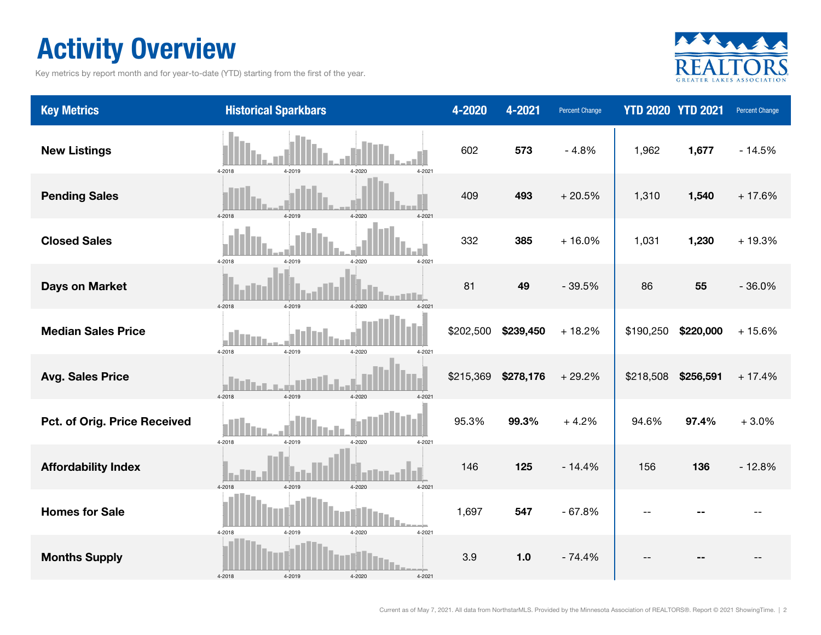### Activity Overview

Key metrics by report month and for year-to-date (YTD) starting from the first of the year.



| <b>Key Metrics</b>           | <b>Historical Sparkbars</b>              | 4-2020    | 4-2021    | Percent Change | <b>YTD 2020 YTD 2021</b> |           | Percent Change |
|------------------------------|------------------------------------------|-----------|-----------|----------------|--------------------------|-----------|----------------|
| <b>New Listings</b>          | 4-2019<br>4-2020<br>4-2018<br>4-2021     | 602       | 573       | $-4.8%$        | 1,962                    | 1,677     | $-14.5%$       |
| <b>Pending Sales</b>         | 4-2018<br>4-2019<br>4-2020<br>4-2021     | 409       | 493       | $+20.5%$       | 1,310                    | 1,540     | $+17.6%$       |
| <b>Closed Sales</b>          | 4-2018<br>4-2020<br>$4 - 2021$<br>4-2019 | 332       | 385       | $+16.0%$       | 1,031                    | 1,230     | $+19.3%$       |
| <b>Days on Market</b>        | 4-2019<br>4-2018<br>$4 - 2020$<br>4-2021 | 81        | 49        | $-39.5%$       | 86                       | 55        | $-36.0%$       |
| <b>Median Sales Price</b>    | 4-2018<br>4-2019<br>4-2020<br>4-2021     | \$202,500 | \$239,450 | $+18.2%$       | \$190,250                | \$220,000 | $+15.6%$       |
| <b>Avg. Sales Price</b>      | 4-2018<br>4-2019<br>4-2020<br>$4 - 202$  | \$215,369 | \$278,176 | $+29.2%$       | \$218,508                | \$256,591 | $+17.4%$       |
| Pct. of Orig. Price Received | 4-2018<br>4-2019<br>4-2020<br>$4 - 2021$ | 95.3%     | 99.3%     | $+4.2%$        | 94.6%                    | 97.4%     | $+3.0%$        |
| <b>Affordability Index</b>   | 4-2018<br>4-2019<br>4-2020<br>4-2021     | 146       | 125       | $-14.4%$       | 156                      | 136       | $-12.8%$       |
| <b>Homes for Sale</b>        | 4-2018<br>4-2019<br>4-2020<br>$4 - 2021$ | 1,697     | 547       | $-67.8%$       |                          |           |                |
| <b>Months Supply</b>         | 4-2018<br>4-2019<br>4-2020<br>4-2021     | 3.9       | 1.0       | $-74.4%$       |                          |           |                |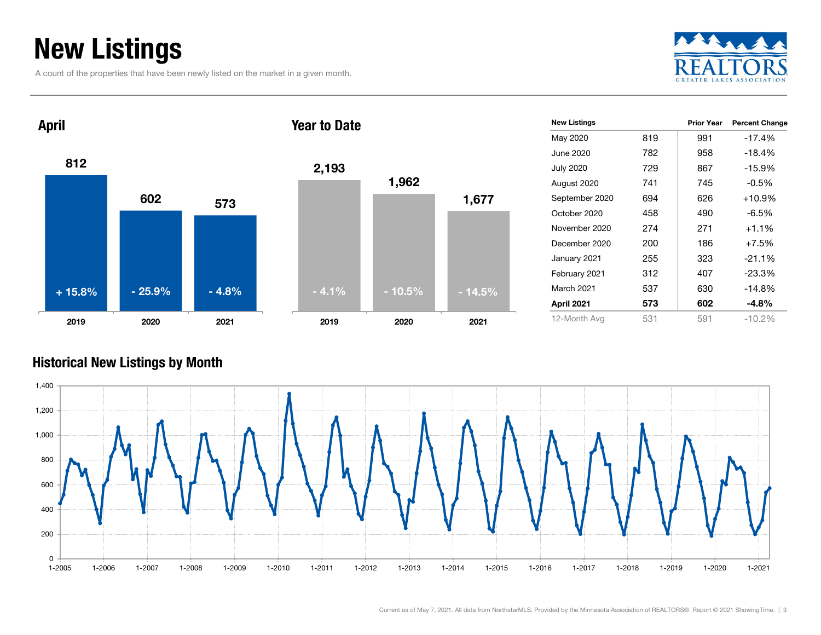### New Listings

A count of the properties that have been newly listed on the market in a given month.





| 2,193   | 1,962    | 1,677    |
|---------|----------|----------|
| $-4.1%$ | $-10.5%$ | $-14.5%$ |
| 2019    | 2020     | 2021     |

| <b>New Listings</b> |     | <b>Prior Year</b> | <b>Percent Change</b> |
|---------------------|-----|-------------------|-----------------------|
| May 2020            | 819 | 991               | $-17.4%$              |
| June 2020           | 782 | 958               | $-18.4%$              |
| <b>July 2020</b>    | 729 | 867               | $-15.9%$              |
| August 2020         | 741 | 745               | $-0.5\%$              |
| September 2020      | 694 | 626               | $+10.9%$              |
| October 2020        | 458 | 490               | $-6.5\%$              |
| November 2020       | 274 | 271               | $+1.1%$               |
| December 2020       | 200 | 186               | $+7.5%$               |
| January 2021        | 255 | 323               | $-21.1%$              |
| February 2021       | 312 | 407               | $-23.3%$              |
| <b>March 2021</b>   | 537 | 630               | $-14.8%$              |
| April 2021          | 573 | 602               | -4.8%                 |
| 12-Month Avg        | 531 | 591               | $-10.2%$              |

#### Historical New Listings by Month

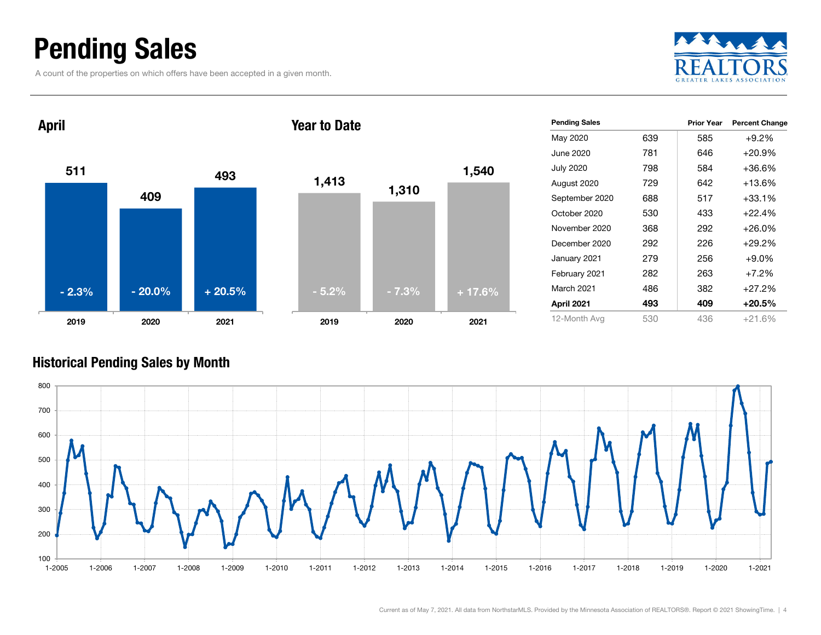### Pending Sales

A count of the properties on which offers have been accepted in a given month.





| <b>Pending Sales</b> |     | <b>Prior Year</b> | <b>Percent Change</b> |
|----------------------|-----|-------------------|-----------------------|
| May 2020             | 639 | 585               | $+9.2\%$              |
| June 2020            | 781 | 646               | $+20.9%$              |
| <b>July 2020</b>     | 798 | 584               | +36.6%                |
| August 2020          | 729 | 642               | $+13.6%$              |
| September 2020       | 688 | 517               | $+33.1%$              |
| October 2020         | 530 | 433               | $+22.4%$              |
| November 2020        | 368 | 292               | $+26.0%$              |
| December 2020        | 292 | 226               | $+29.2%$              |
| January 2021         | 279 | 256               | $+9.0\%$              |
| February 2021        | 282 | 263               | $+7.2%$               |
| <b>March 2021</b>    | 486 | 382               | $+27.2%$              |
| April 2021           | 493 | 409               | $+20.5%$              |
| 12-Month Avg         | 530 | 436               | +21.6%                |

#### Historical Pending Sales by Month

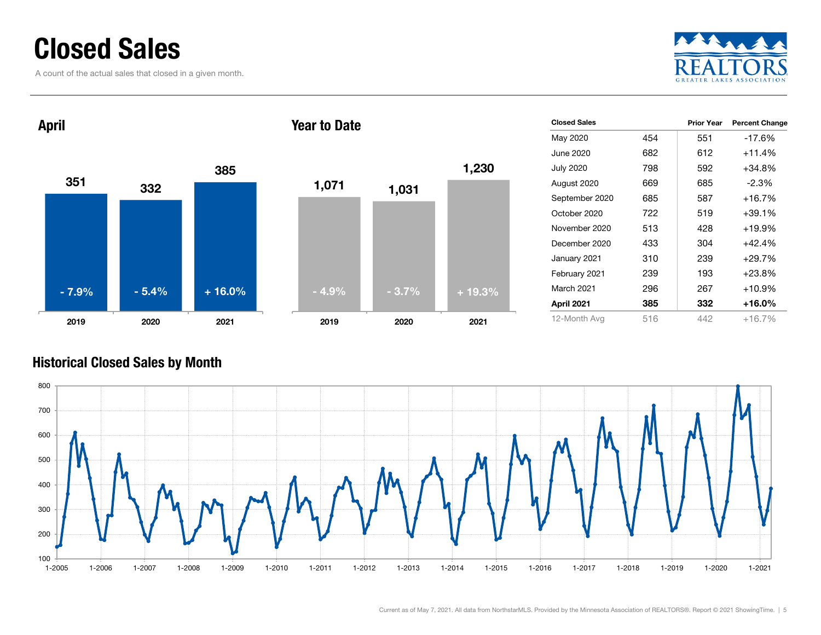### Closed Sales

A count of the actual sales that closed in a given month.





|     | <b>Prior Year</b> | <b>Percent Change</b> |
|-----|-------------------|-----------------------|
| 454 | 551               | $-17.6%$              |
| 682 | 612               | +11.4%                |
| 798 | 592               | +34.8%                |
| 669 | 685               | $-2.3\%$              |
| 685 | 587               | $+16.7%$              |
| 722 | 519               | +39.1%                |
| 513 | 428               | +19.9%                |
| 433 | 304               | +42.4%                |
| 310 | 239               | +29.7%                |
| 239 | 193               | $+23.8%$              |
| 296 | 267               | +10.9%                |
| 385 | 332               | +16.0%                |
| 516 | 442               | +16.7%                |
|     |                   |                       |

#### Historical Closed Sales by Month

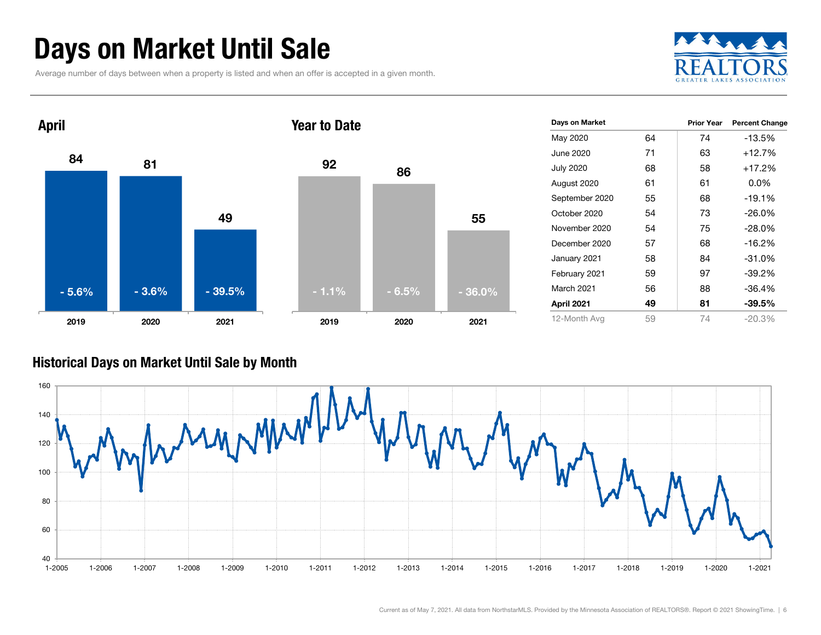### Days on Market Until Sale

Average number of days between when a property is listed and when an offer is accepted in a given month.





#### Historical Days on Market Until Sale by Month

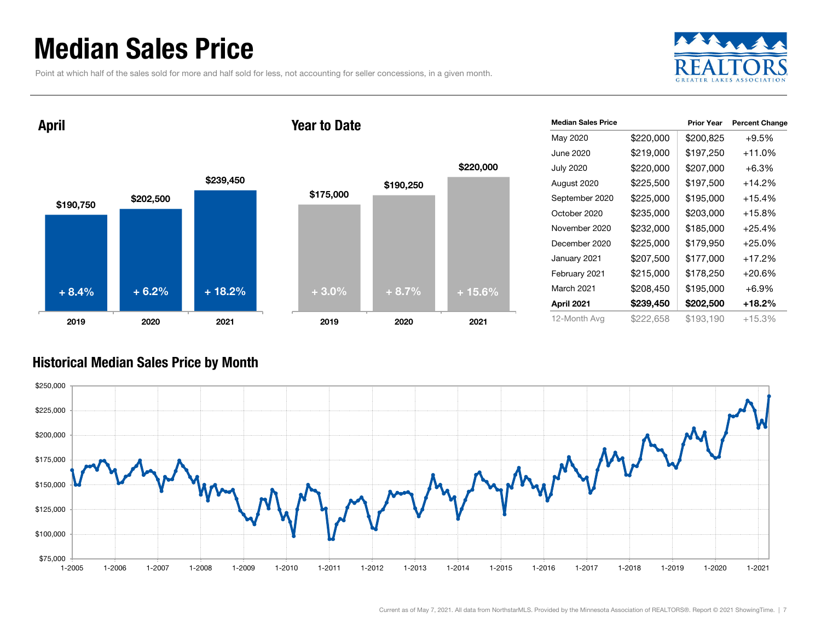### Median Sales Price

Point at which half of the sales sold for more and half sold for less, not accounting for seller concessions, in a given month.



\$190,750 \$202,500 \$239,450 2019 2020 2021 April + 8.4%

#### Year to Date



| <b>Median Sales Price</b> |           | <b>Prior Year</b> | <b>Percent Change</b> |
|---------------------------|-----------|-------------------|-----------------------|
| May 2020                  | \$220,000 | \$200,825         | $+9.5%$               |
| June 2020                 | \$219,000 | \$197,250         | $+11.0\%$             |
| <b>July 2020</b>          | \$220,000 | \$207,000         | $+6.3%$               |
| August 2020               | \$225,500 | \$197,500         | $+14.2%$              |
| September 2020            | \$225,000 | \$195,000         | $+15.4%$              |
| October 2020              | \$235,000 | \$203,000         | $+15.8\%$             |
| November 2020             | \$232,000 | \$185,000         | $+25.4%$              |
| December 2020             | \$225,000 | \$179,950         | $+25.0%$              |
| January 2021              | \$207,500 | \$177,000         | $+17.2%$              |
| February 2021             | \$215,000 | \$178,250         | $+20.6%$              |
| March 2021                | \$208,450 | \$195,000         | $+6.9%$               |
| April 2021                | \$239,450 | \$202,500         | +18.2%                |
| 12-Month Avg              | \$222,658 | \$193,190         | +15.3%                |

#### Historical Median Sales Price by Month

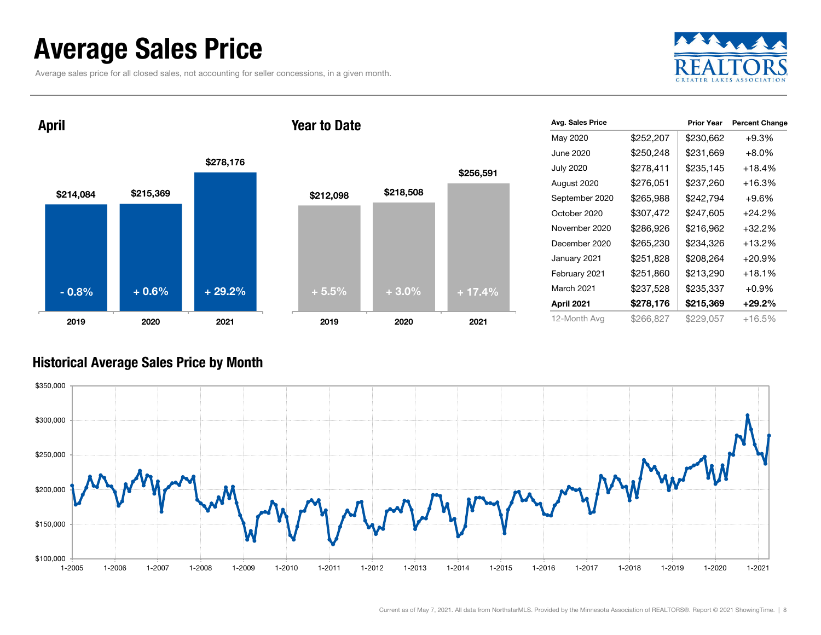### Average Sales Price

Average sales price for all closed sales, not accounting for seller concessions, in a given month.



April

#### Year to Date



| Avg. Sales Price |           | <b>Prior Year</b> | <b>Percent Change</b> |
|------------------|-----------|-------------------|-----------------------|
| May 2020         | \$252,207 | \$230,662         | $+9.3%$               |
| June 2020        | \$250,248 | \$231,669         | $+8.0\%$              |
| <b>July 2020</b> | \$278,411 | \$235,145         | +18.4%                |
| August 2020      | \$276,051 | \$237,260         | +16.3%                |
| September 2020   | \$265,988 | \$242,794         | $+9.6\%$              |
| October 2020     | \$307,472 | \$247,605         | $+24.2\%$             |
| November 2020    | \$286,926 | \$216,962         | $+32.2%$              |
| December 2020    | \$265,230 | \$234,326         | $+13.2%$              |
| January 2021     | \$251,828 | \$208,264         | $+20.9%$              |
| February 2021    | \$251,860 | \$213,290         | +18.1%                |
| March 2021       | \$237,528 | \$235,337         | $+0.9%$               |
| April 2021       | \$278,176 | \$215,369         | $+29.2\%$             |
| 12-Month Avg     | \$266,827 | \$229,057         | +16.5%                |

#### Historical Average Sales Price by Month

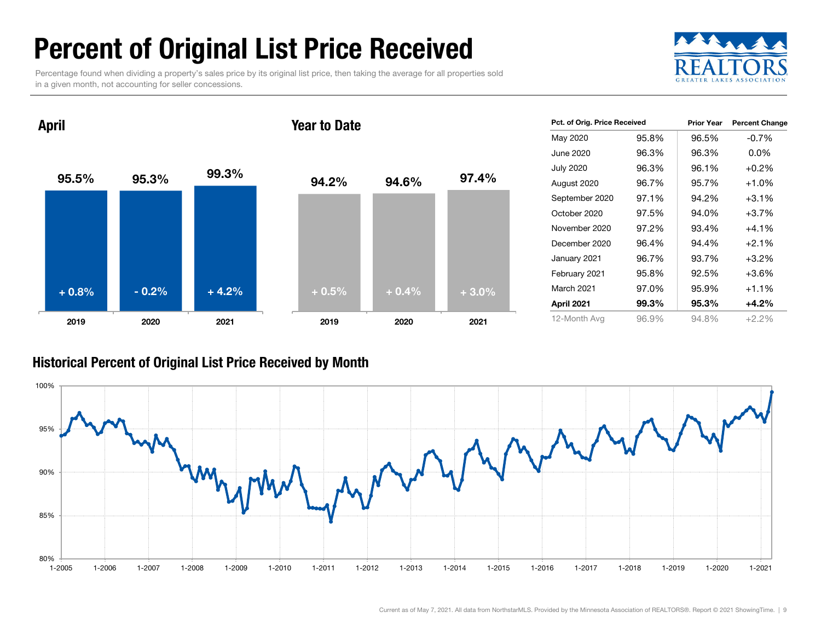### Percent of Original List Price Received

Percentage found when dividing a property's sales price by its original list price, then taking the average for all properties sold in a given month, not accounting for seller concessions.



95.5% 95.3% 99.3% 2019 2020 2021 April 94.2% 94.6% 97.4% 2019 2020 2021 Year to Date+ 0.8% $\%$  - 0.2% + 4.2% +  $0.5\%$  + 0.4% +  $3.0\%$ 

| Pct. of Orig. Price Received |       | <b>Prior Year</b> | <b>Percent Change</b> |
|------------------------------|-------|-------------------|-----------------------|
| May 2020                     | 95.8% | 96.5%             | $-0.7\%$              |
| June 2020                    | 96.3% | 96.3%             | 0.0%                  |
| <b>July 2020</b>             | 96.3% | 96.1%             | $+0.2%$               |
| August 2020                  | 96.7% | 95.7%             | $+1.0%$               |
| September 2020               | 97.1% | 94.2%             | $+3.1%$               |
| October 2020                 | 97.5% | 94.0%             | $+3.7%$               |
| November 2020                | 97.2% | 93.4%             | $+4.1%$               |
| December 2020                | 96.4% | 94.4%             | $+2.1%$               |
| January 2021                 | 96.7% | 93.7%             | $+3.2%$               |
| February 2021                | 95.8% | 92.5%             | $+3.6%$               |
| <b>March 2021</b>            | 97.0% | 95.9%             | $+1.1%$               |
| April 2021                   | 99.3% | 95.3%             | $+4.2%$               |
| 12-Month Avg                 | 96.9% | 94.8%             | $+2.2%$               |

#### Historical Percent of Original List Price Received by Month

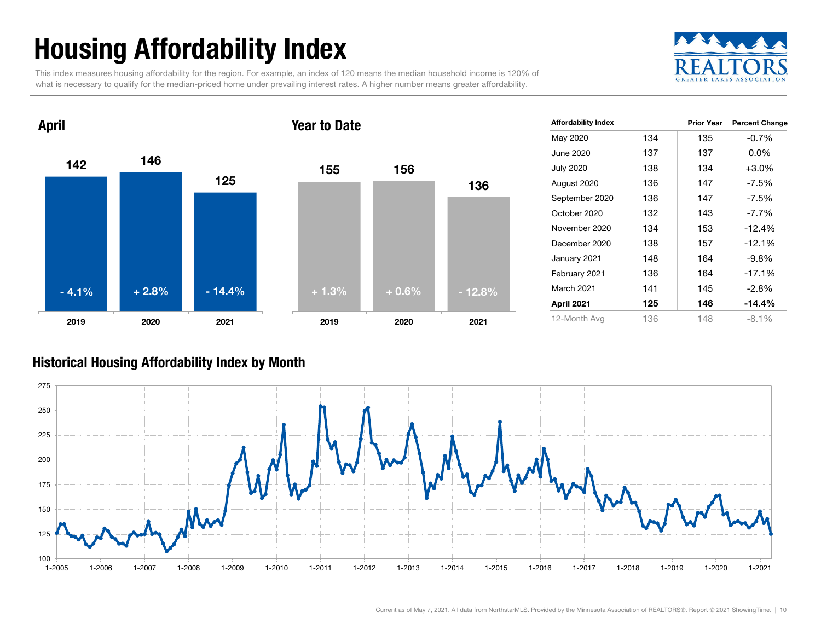## Housing Affordability Index

This index measures housing affordability for the region. For example, an index of 120 means the median household income is 120% of what is necessary to qualify for the median-priced home under prevailing interest rates. A higher number means greater affordability.





| <b>Affordability Index</b> |     | <b>Prior Year</b> | <b>Percent Change</b> |
|----------------------------|-----|-------------------|-----------------------|
| May 2020                   | 134 | 135               | $-0.7%$               |
| June 2020                  | 137 | 137               | $0.0\%$               |
| <b>July 2020</b>           | 138 | 134               | $+3.0%$               |
| August 2020                | 136 | 147               | -7.5%                 |
| September 2020             | 136 | 147               | $-7.5%$               |
| October 2020               | 132 | 143               | $-7.7\%$              |
| November 2020              | 134 | 153               | $-12.4%$              |
| December 2020              | 138 | 157               | $-12.1%$              |
| January 2021               | 148 | 164               | $-9.8\%$              |
| February 2021              | 136 | 164               | $-17.1%$              |
| <b>March 2021</b>          | 141 | 145               | $-2.8%$               |
| April 2021                 | 125 | 146               | $-14.4%$              |
| 12-Month Avg               | 136 | 148               | $-8.1%$               |

#### Historical Housing Affordability Index by Mont h

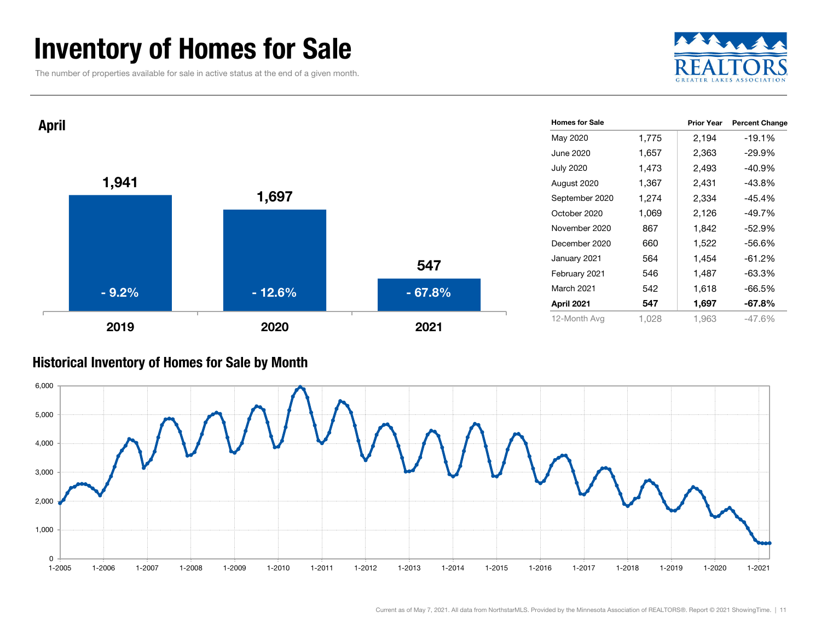### Inventory of Homes for Sale

The number of properties available for sale in active status at the end of a given month.





#### Historical Inventory of Homes for Sale by Month

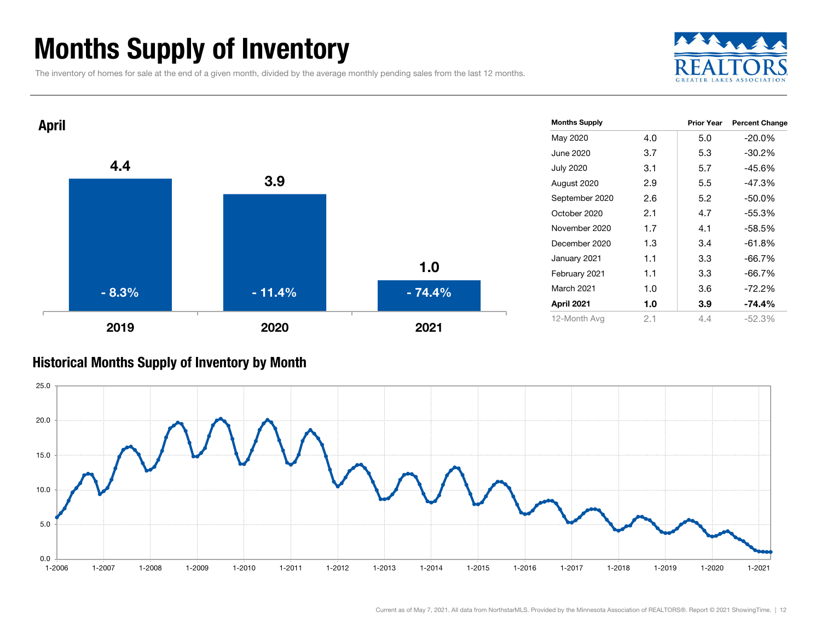### Months Supply of Inventory

The inventory of homes for sale at the end of a given month, divided by the average monthly pending sales from the last 12 months.





#### Historical Months Supply of Inventory by Month